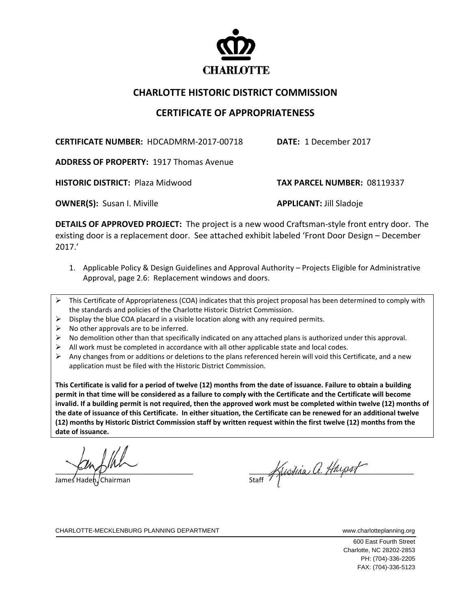

## **CHARLOTTE HISTORIC DISTRICT COMMISSION**

## **CERTIFICATE OF APPROPRIATENESS**

**CERTIFICATE NUMBER:** HDCADMRM‐2017‐00718 **DATE:** 1 December 2017

**ADDRESS OF PROPERTY:** 1917 Thomas Avenue

**HISTORIC DISTRICT:** Plaza Midwood  **TAX PARCEL NUMBER:** 08119337

**OWNER(S):** Susan I. Miville  **APPLICANT:** Jill Sladoje

**DETAILS OF APPROVED PROJECT:** The project is a new wood Craftsman‐style front entry door. The existing door is a replacement door. See attached exhibit labeled 'Front Door Design – December 2017.'

- 1. Applicable Policy & Design Guidelines and Approval Authority Projects Eligible for Administrative Approval, page 2.6: Replacement windows and doors.
- $\triangleright$  This Certificate of Appropriateness (COA) indicates that this project proposal has been determined to comply with the standards and policies of the Charlotte Historic District Commission.
- $\triangleright$  Display the blue COA placard in a visible location along with any required permits.
- $\triangleright$  No other approvals are to be inferred.
- $\triangleright$  No demolition other than that specifically indicated on any attached plans is authorized under this approval.
- All work must be completed in accordance with all other applicable state and local codes.
- $\triangleright$  Any changes from or additions or deletions to the plans referenced herein will void this Certificate, and a new application must be filed with the Historic District Commission.

This Certificate is valid for a period of twelve (12) months from the date of issuance. Failure to obtain a building permit in that time will be considered as a failure to comply with the Certificate and the Certificate will become invalid. If a building permit is not required, then the approved work must be completed within twelve (12) months of the date of issuance of this Certificate. In either situation, the Certificate can be renewed for an additional twelve (12) months by Historic District Commission staff by written request within the first twelve (12) months from the **date of issuance.** 

James Hadeh. Chairman

 $\frac{1}{\text{Start}}$  Mistina, a. Haipst

CHARLOTTE-MECKLENBURG PLANNING DEPARTMENT www.charlotteplanning.org

 600 East Fourth Street Charlotte, NC 28202-2853 PH: (704)-336-2205 FAX: (704)-336-5123